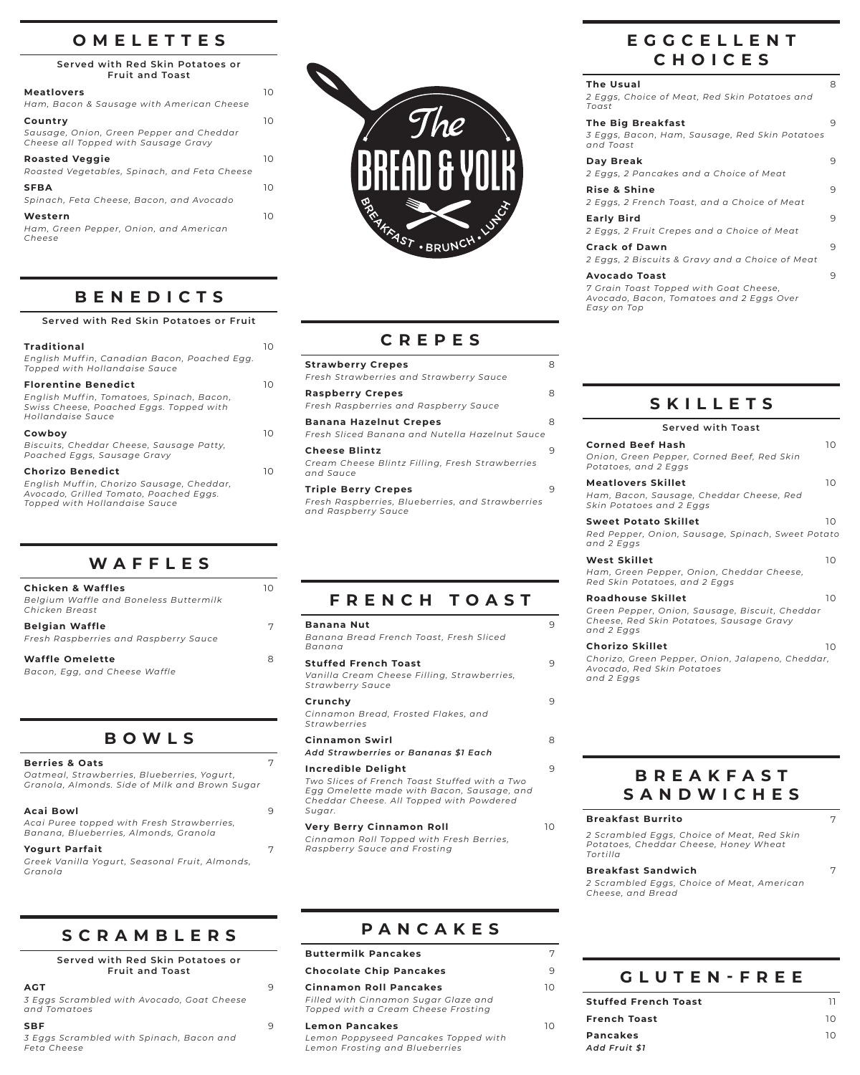#### **OMELETTES**

**Served with Red Skin Potatoes or Fruit and Toast**

| <b>Meatlovers</b><br>Ham, Bacon & Sausage with American Cheese                              | 10 |
|---------------------------------------------------------------------------------------------|----|
| Country<br>Sausage, Onion, Green Pepper and Cheddar<br>Cheese all Topped with Sausage Gravy | 10 |
| <b>Roasted Veggie</b><br>Roasted Vegetables, Spinach, and Feta Cheese                       | 10 |
| <b>SFBA</b><br>Spinach, Feta Cheese, Bacon, and Avocado                                     | 10 |
| Western<br>Ham, Green Pepper, Onion, and American<br>Cheese                                 | 10 |
|                                                                                             |    |

### **BENEDICTS**

| Served with Red Skin Potatoes or Fruit                                                                                                          |     |
|-------------------------------------------------------------------------------------------------------------------------------------------------|-----|
| <b>Traditional</b><br>English Muffin, Canadian Bacon, Poached Egg.<br>Topped with Hollandaise Sauce                                             | ח ו |
| <b>Florentine Benedict</b><br>English Muffin, Tomatoes, Spinach, Bacon,<br>Swiss Cheese, Poached Eggs. Topped with<br>Hollandaise Sauce         | ח ו |
| Cowboy<br>Biscuits, Cheddar Cheese, Sausage Patty,<br>Poached Eggs, Sausage Gravy                                                               | ח ו |
| <b>Chorizo Benedict</b><br>English Muffin, Chorizo Sausage, Cheddar,<br>Avocado, Grilled Tomato, Poached Eggs.<br>Topped with Hollandaise Sauce | 10  |

| WAFFLES |  |  |  |
|---------|--|--|--|
|         |  |  |  |

| <b>Chicken &amp; Waffles</b><br>Belgium Waffle and Boneless Buttermilk<br>Chicken Breast | 10 |
|------------------------------------------------------------------------------------------|----|
| <b>Belgian Waffle</b><br>Fresh Raspberries and Raspberry Sauce                           | 7  |
| <b>Waffle Omelette</b><br>Bacon, Egg, and Cheese Waffle                                  | 8  |

### **BOWLS**

| <b>Berries &amp; Oats</b>                                                                     |   |
|-----------------------------------------------------------------------------------------------|---|
| Oatmeal, Strawberries, Blueberries, Yogurt,<br>Granola, Almonds. Side of Milk and Brown Sugar |   |
| Acai Bowl                                                                                     | 9 |
| Acai Puree topped with Fresh Strawberries,<br>Banana, Blueberries, Almonds, Granola           |   |
| <b>Yogurt Parfait</b>                                                                         | 7 |
| Greek Vanilla Yogurt, Seasonal Fruit, Almonds,<br>Granola                                     |   |

### **SCRAMBLERS**

| Served with Red Skin Potatoes or<br><b>Fruit and Toast</b> |   |
|------------------------------------------------------------|---|
| AGT                                                        | 9 |
| 3 Eggs Scrambled with Avocado, Goat Cheese<br>and Tomatoes |   |

| <u>9 LYYS SCIUMBICU WILLI AVOCUUO, OOUL CHCCSC</u><br>and Tomatoes |   |
|--------------------------------------------------------------------|---|
| <b>SBF</b>                                                         | 9 |
| 3 Eggs Scrambled with Spinach, Bacon and                           |   |
| Feta Cheese                                                        |   |



### **CREPES**

| <b>Strawberry Crepes</b><br>Fresh Strawberries and Strawberry Sauce                                   | 8 |
|-------------------------------------------------------------------------------------------------------|---|
| <b>Raspberry Crepes</b><br>Fresh Raspberries and Raspberry Sauce                                      | 8 |
| <b>Banana Hazelnut Crepes</b><br>Fresh Sliced Banana and Nutella Hazelnut Sauce                       | 8 |
| <b>Cheese Blintz</b><br>Cream Cheese Blintz Filling, Fresh Strawberries<br>and Sauce                  | 9 |
| <b>Triple Berry Crepes</b><br>Fresh Raspberries, Blueberries, and Strawberries<br>and Raspberry Sauce | 9 |

### **FRENCH TOAST**

| <b>Banana Nut</b><br>Banana Bread French Toast, Fresh Sliced<br>Banana                                                                                                  | 9 |
|-------------------------------------------------------------------------------------------------------------------------------------------------------------------------|---|
| <b>Stuffed French Toast</b><br>Vanilla Cream Cheese Filling, Strawberries,<br>Strawberry Sauce                                                                          | 9 |
| Crunchy<br>Cinnamon Bread, Frosted Flakes, and<br>Strawberries                                                                                                          | 9 |
| <b>Cinnamon Swirl</b><br>Add Strawberries or Bananas \$1 Each                                                                                                           | 8 |
| Incredible Delight<br>Two Slices of French Toast Stuffed with a Two<br>Egg Omelette made with Bacon, Sausage, and<br>Cheddar Cheese. All Topped with Powdered<br>Sugar. | 9 |

**Very Berry Cinnamon Roll** 10 *Cinnamon Roll Topped with Fresh Berries,*

*Raspberry Sauce and Frosting*

**PANCAKES**

## **EGGCELLENT CHOICES**

| <b>The Usual</b><br>2 Eggs, Choice of Meat, Red Skin Potatoes and<br>Toast                                                | 8 |
|---------------------------------------------------------------------------------------------------------------------------|---|
| <b>The Big Breakfast</b><br>3 Eggs, Bacon, Ham, Sausage, Red Skin Potatoes<br>and Toast                                   | 9 |
| Day Break<br>2 Eggs, 2 Pancakes and a Choice of Meat                                                                      | 9 |
| <b>Rise &amp; Shine</b><br>2 Eggs, 2 French Toast, and a Choice of Meat                                                   | 9 |
| <b>Early Bird</b><br>2 Eggs, 2 Fruit Crepes and a Choice of Meat                                                          | 9 |
| <b>Crack of Dawn</b><br>2 Eggs, 2 Biscuits & Gravy and a Choice of Meat                                                   | 9 |
| <b>Avocado Toast</b><br>7 Grain Toast Topped with Goat Cheese,<br>Avocado, Bacon, Tomatoes and 2 Eggs Over<br>Easy on Top | 9 |

#### **SKILLETS**

| <b>Served with Toast</b>                                                                                                             |    |
|--------------------------------------------------------------------------------------------------------------------------------------|----|
| <b>Corned Beef Hash</b><br>Onion, Green Pepper, Corned Beef, Red Skin<br>Potatoes, and 2 Eggs                                        | 10 |
| <b>Meatlovers Skillet</b><br>Ham, Bacon, Sausage, Cheddar Cheese, Red<br>Skin Potatoes and 2 Eggs                                    | 10 |
| <b>Sweet Potato Skillet</b><br>Red Pepper, Onion, Sausage, Spinach, Sweet Potato<br>and 2 Eggs                                       | 10 |
| <b>West Skillet</b><br>Ham, Green Pepper, Onion, Cheddar Cheese,<br>Red Skin Potatoes, and 2 Eggs                                    | 10 |
| <b>Roadhouse Skillet</b><br>Green Pepper, Onion, Sausage, Biscuit, Cheddar<br>Cheese, Red Skin Potatoes, Sausage Gravy<br>and 2 Eggs | 10 |
| Chorizo Skillet<br>Chorizo, Green Pepper, Onion, Jalapeno, Cheddar,<br>Avocado, Red Skin Potatoes<br>and 2 Eggs                      | 10 |

#### **BREAKFAST SANDWICHES**

| <b>Breakfast Burrito</b>                                                                        |  |
|-------------------------------------------------------------------------------------------------|--|
| 2 Scrambled Eggs, Choice of Meat, Red Skin<br>Potatoes, Cheddar Cheese, Honey Wheat<br>Tortilla |  |
| <b>Breakfast Sandwich</b>                                                                       |  |
| 2 Scrambled Eggs, Choice of Meat, American<br>Cheese, and Bread                                 |  |
|                                                                                                 |  |
|                                                                                                 |  |

# **Buttermilk Pancakes** 7

| <b>Chocolate Chip Pancakes</b>                                              |    |                 |
|-----------------------------------------------------------------------------|----|-----------------|
| <b>Cinnamon Roll Pancakes</b>                                               | 10 |                 |
| Filled with Cinnamon Sugar Glaze and<br>Topped with a Cream Cheese Frosting |    | <b>Stuffe</b>   |
| <b>Lemon Pancakes</b>                                                       | 10 | <b>Frenc</b>    |
| Lemon Poppyseed Pancakes Topped with<br>Lemon Frosting and Blueberries      |    | Panca<br>Add Fi |

| <b>GLUTEN-FREE</b> |  |  |  |  |  |  |
|--------------------|--|--|--|--|--|--|
|                    |  |  |  |  |  |  |

| Stuffed French Toast |    |
|----------------------|----|
| French Toast         | 10 |
| Pancakes             | 10 |
| Add Fruit \$1        |    |